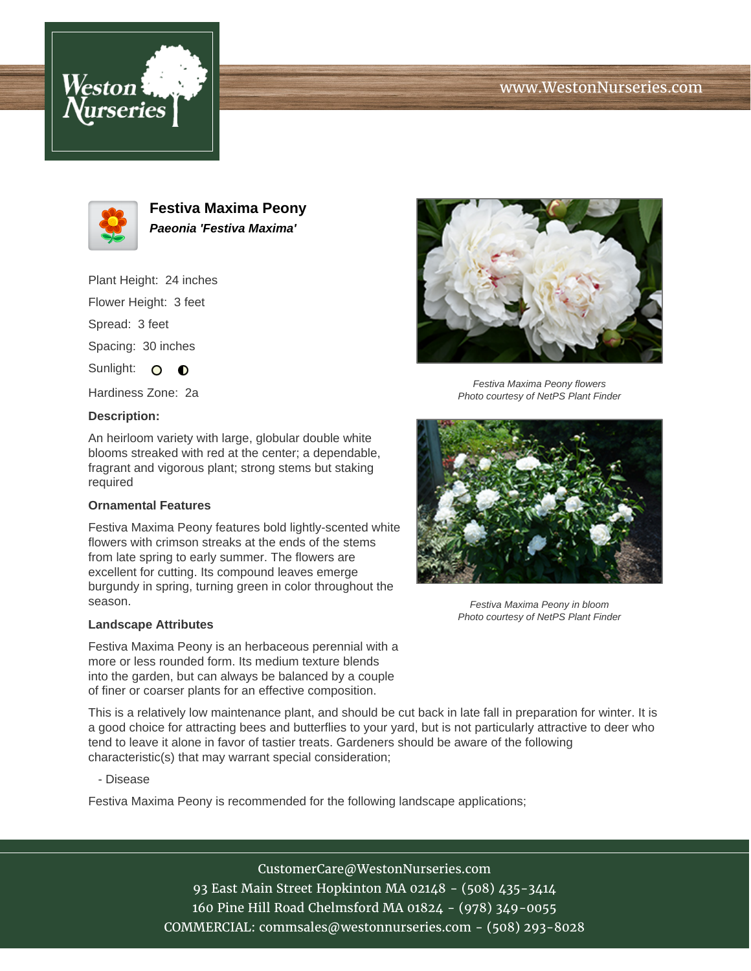





**Festiva Maxima Peony Paeonia 'Festiva Maxima'**

Plant Height: 24 inches Flower Height: 3 feet

Spread: 3 feet

Spacing: 30 inches

Sunlight: O **O** 

Hardiness Zone: 2a

## **Description:**

An heirloom variety with large, globular double white blooms streaked with red at the center; a dependable, fragrant and vigorous plant; strong stems but staking required

## **Ornamental Features**

Festiva Maxima Peony features bold lightly-scented white flowers with crimson streaks at the ends of the stems from late spring to early summer. The flowers are excellent for cutting. Its compound leaves emerge burgundy in spring, turning green in color throughout the season.

## **Landscape Attributes**

Festiva Maxima Peony is an herbaceous perennial with a more or less rounded form. Its medium texture blends into the garden, but can always be balanced by a couple of finer or coarser plants for an effective composition.

This is a relatively low maintenance plant, and should be cut back in late fall in preparation for winter. It is a good choice for attracting bees and butterflies to your yard, but is not particularly attractive to deer who tend to leave it alone in favor of tastier treats. Gardeners should be aware of the following characteristic(s) that may warrant special consideration;

- Disease

Festiva Maxima Peony is recommended for the following landscape applications;

CustomerCare@WestonNurseries.com 93 East Main Street Hopkinton MA 02148 - (508) 435-3414 160 Pine Hill Road Chelmsford MA 01824 - (978) 349-0055 COMMERCIAL: commsales@westonnurseries.com - (508) 293-8028



Festiva Maxima Peony flowers Photo courtesy of NetPS Plant Finder



Festiva Maxima Peony in bloom Photo courtesy of NetPS Plant Finder